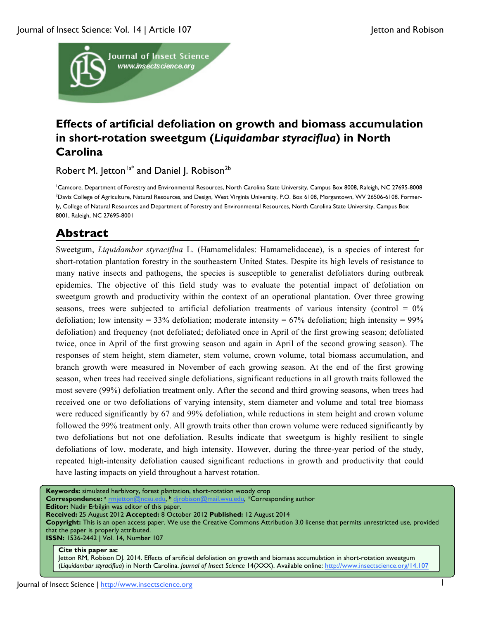

# **Effects of artificial defoliation on growth and biomass accumulation in short-rotation sweetgum (***Liquidambar styraciflua***) in North Carolina**

Robert M. Jetton<sup>1a\*</sup> and Daniel J. Robison<sup>2b</sup>

1 Camcore, Department of Forestry and Environmental Resources, North Carolina State University, Campus Box 8008, Raleigh, NC 27695-8008 2 Davis College of Agriculture, Natural Resources, and Design, West Virginia University, P.O. Box 6108, Morgantown, WV 26506-6108. Formerly, College of Natural Resources and Department of Forestry and Environmental Resources, North Carolina State University, Campus Box 8001, Raleigh, NC 27695-8001

# **Abstract**

Sweetgum, *Liquidambar styraciflua* L. (Hamamelidales: Hamamelidaceae), is a species of interest for short-rotation plantation forestry in the southeastern United States. Despite its high levels of resistance to many native insects and pathogens, the species is susceptible to generalist defoliators during outbreak epidemics. The objective of this field study was to evaluate the potential impact of defoliation on sweetgum growth and productivity within the context of an operational plantation. Over three growing seasons, trees were subjected to artificial defoliation treatments of various intensity (control  $= 0\%$ ) defoliation; low intensity = 33% defoliation; moderate intensity =  $67\%$  defoliation; high intensity = 99% defoliation) and frequency (not defoliated; defoliated once in April of the first growing season; defoliated twice, once in April of the first growing season and again in April of the second growing season). The responses of stem height, stem diameter, stem volume, crown volume, total biomass accumulation, and branch growth were measured in November of each growing season. At the end of the first growing season, when trees had received single defoliations, significant reductions in all growth traits followed the most severe (99%) defoliation treatment only. After the second and third growing seasons, when trees had received one or two defoliations of varying intensity, stem diameter and volume and total tree biomass were reduced significantly by 67 and 99% defoliation, while reductions in stem height and crown volume followed the 99% treatment only. All growth traits other than crown volume were reduced significantly by two defoliations but not one defoliation. Results indicate that sweetgum is highly resilient to single defoliations of low, moderate, and high intensity. However, during the three-year period of the study, repeated high-intensity defoliation caused significant reductions in growth and productivity that could have lasting impacts on yield throughout a harvest rotation.

**Keywords:** simulated herbivory, forest plantation, short-rotation woody crop Correspondence: a rmjetton@ncsu.edu, b djrobison@mail.wvu.edu, \*Corresponding author **Editor:** Nadir Erbilgin was editor of this paper. **Received:** 25 August 2012 **Accepted:** 8 October 2012 **Published:** 12 August 2014 **Copyright:** This is an open access paper. We use the Creative Commons Attribution 3.0 license that permits unrestricted use, provided that the paper is properly attributed. **ISSN:** 1536-2442 | Vol. 14, Number 107

#### **Cite this paper as:**

Jetton RM, Robison DJ. 2014. Effects of artificial defoliation on growth and biomass accumulation in short-rotation sweetgum (*Liquidambar styraciflua*) in North Carolina. *Journal of Insect Science* 14(XXX). Available online: http://www.insectscience.org/14.107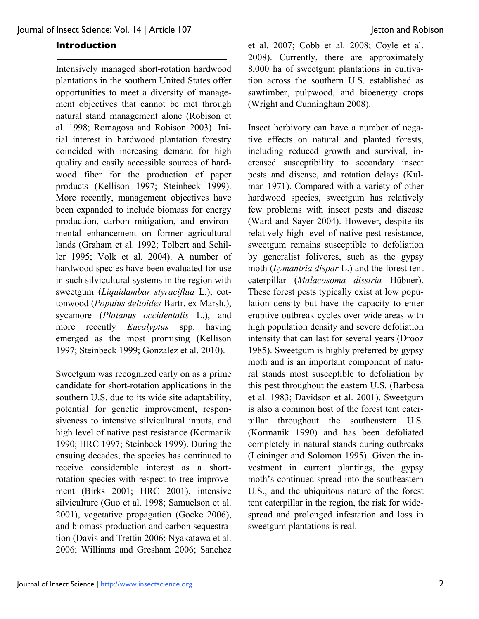## **Introduction**

Intensively managed short-rotation hardwood plantations in the southern United States offer opportunities to meet a diversity of management objectives that cannot be met through natural stand management alone (Robison et al. 1998; Romagosa and Robison 2003). Initial interest in hardwood plantation forestry coincided with increasing demand for high quality and easily accessible sources of hardwood fiber for the production of paper products (Kellison 1997; Steinbeck 1999). More recently, management objectives have been expanded to include biomass for energy production, carbon mitigation, and environmental enhancement on former agricultural lands (Graham et al. 1992; Tolbert and Schiller 1995; Volk et al. 2004). A number of hardwood species have been evaluated for use in such silvicultural systems in the region with sweetgum (*Liquidambar styraciflua* L.), cottonwood (*Populus deltoides* Bartr. ex Marsh.), sycamore (*Platanus occidentalis* L.), and more recently *Eucalyptus* spp. having emerged as the most promising (Kellison 1997; Steinbeck 1999; Gonzalez et al. 2010).

Sweetgum was recognized early on as a prime candidate for short-rotation applications in the southern U.S. due to its wide site adaptability, potential for genetic improvement, responsiveness to intensive silvicultural inputs, and high level of native pest resistance (Kormanik 1990; HRC 1997; Steinbeck 1999). During the ensuing decades, the species has continued to receive considerable interest as a shortrotation species with respect to tree improvement (Birks 2001; HRC 2001), intensive silviculture (Guo et al. 1998; Samuelson et al. 2001), vegetative propagation (Gocke 2006), and biomass production and carbon sequestration (Davis and Trettin 2006; Nyakatawa et al. 2006; Williams and Gresham 2006; Sanchez

et al. 2007; Cobb et al. 2008; Coyle et al. 2008). Currently, there are approximately 8,000 ha of sweetgum plantations in cultivation across the southern U.S. established as sawtimber, pulpwood, and bioenergy crops (Wright and Cunningham 2008).

Insect herbivory can have a number of negative effects on natural and planted forests, including reduced growth and survival, increased susceptibility to secondary insect pests and disease, and rotation delays (Kulman 1971). Compared with a variety of other hardwood species, sweetgum has relatively few problems with insect pests and disease (Ward and Sayer 2004). However, despite its relatively high level of native pest resistance, sweetgum remains susceptible to defoliation by generalist folivores, such as the gypsy moth (*Lymantria dispar* L.) and the forest tent caterpillar (*Malacosoma disstria* Hübner). These forest pests typically exist at low population density but have the capacity to enter eruptive outbreak cycles over wide areas with high population density and severe defoliation intensity that can last for several years (Drooz 1985). Sweetgum is highly preferred by gypsy moth and is an important component of natural stands most susceptible to defoliation by this pest throughout the eastern U.S. (Barbosa et al. 1983; Davidson et al. 2001). Sweetgum is also a common host of the forest tent caterpillar throughout the southeastern U.S. (Kormanik 1990) and has been defoliated completely in natural stands during outbreaks (Leininger and Solomon 1995). Given the investment in current plantings, the gypsy moth's continued spread into the southeastern U.S., and the ubiquitous nature of the forest tent caterpillar in the region, the risk for widespread and prolonged infestation and loss in sweetgum plantations is real.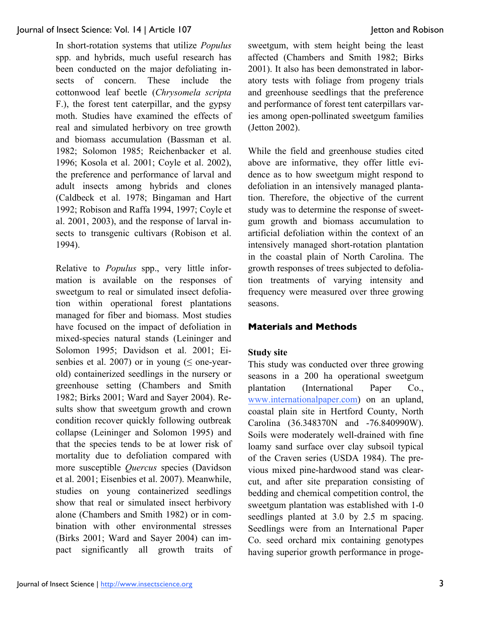In short-rotation systems that utilize *Populus* spp. and hybrids, much useful research has been conducted on the major defoliating insects of concern. These include the cottonwood leaf beetle (*Chrysomela scripta* F.), the forest tent caterpillar, and the gypsy moth. Studies have examined the effects of real and simulated herbivory on tree growth and biomass accumulation (Bassman et al. 1982; Solomon 1985; Reichenbacker et al. 1996; Kosola et al. 2001; Coyle et al. 2002), the preference and performance of larval and adult insects among hybrids and clones (Caldbeck et al. 1978; Bingaman and Hart 1992; Robison and Raffa 1994, 1997; Coyle et al. 2001, 2003), and the response of larval insects to transgenic cultivars (Robison et al. 1994).

Relative to *Populus* spp., very little information is available on the responses of sweetgum to real or simulated insect defoliation within operational forest plantations managed for fiber and biomass. Most studies have focused on the impact of defoliation in mixed-species natural stands (Leininger and Solomon 1995; Davidson et al. 2001; Eisenbies et al. 2007) or in young ( $\leq$  one-yearold) containerized seedlings in the nursery or greenhouse setting (Chambers and Smith 1982; Birks 2001; Ward and Sayer 2004). Results show that sweetgum growth and crown condition recover quickly following outbreak collapse (Leininger and Solomon 1995) and that the species tends to be at lower risk of mortality due to defoliation compared with more susceptible *Quercus* species (Davidson et al. 2001; Eisenbies et al. 2007). Meanwhile, studies on young containerized seedlings show that real or simulated insect herbivory alone (Chambers and Smith 1982) or in combination with other environmental stresses (Birks 2001; Ward and Sayer 2004) can impact significantly all growth traits of sweetgum, with stem height being the least affected (Chambers and Smith 1982; Birks 2001). It also has been demonstrated in laboratory tests with foliage from progeny trials and greenhouse seedlings that the preference and performance of forest tent caterpillars varies among open-pollinated sweetgum families (Jetton 2002).

While the field and greenhouse studies cited above are informative, they offer little evidence as to how sweetgum might respond to defoliation in an intensively managed plantation. Therefore, the objective of the current study was to determine the response of sweetgum growth and biomass accumulation to artificial defoliation within the context of an intensively managed short-rotation plantation in the coastal plain of North Carolina. The growth responses of trees subjected to defoliation treatments of varying intensity and frequency were measured over three growing seasons.

# **Materials and Methods**

# **Study site**

This study was conducted over three growing seasons in a 200 ha operational sweetgum plantation (International Paper Co., www.internationalpaper.com) on an upland, coastal plain site in Hertford County, North Carolina (36.348370N and -76.840990W). Soils were moderately well-drained with fine loamy sand surface over clay subsoil typical of the Craven series (USDA 1984). The previous mixed pine-hardwood stand was clearcut, and after site preparation consisting of bedding and chemical competition control, the sweetgum plantation was established with 1-0 seedlings planted at 3.0 by 2.5 m spacing. Seedlings were from an International Paper Co. seed orchard mix containing genotypes having superior growth performance in proge-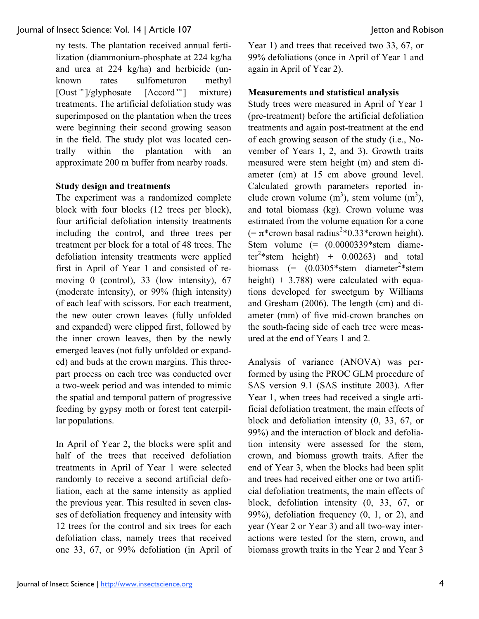ny tests. The plantation received annual fertilization (diammonium-phosphate at 224 kg/ha and urea at 224 kg/ha) and herbicide (unknown rates sulfometuron methyl  $[Oust^{\text{m}}]/glyphosate$   $[Accord^{\text{m}}]$  mixture) treatments. The artificial defoliation study was superimposed on the plantation when the trees were beginning their second growing season in the field. The study plot was located centrally within the plantation with an approximate 200 m buffer from nearby roads.

# **Study design and treatments**

The experiment was a randomized complete block with four blocks (12 trees per block), four artificial defoliation intensity treatments including the control, and three trees per treatment per block for a total of 48 trees. The defoliation intensity treatments were applied first in April of Year 1 and consisted of removing 0 (control), 33 (low intensity), 67 (moderate intensity), or 99% (high intensity) of each leaf with scissors. For each treatment, the new outer crown leaves (fully unfolded and expanded) were clipped first, followed by the inner crown leaves, then by the newly emerged leaves (not fully unfolded or expanded) and buds at the crown margins. This threepart process on each tree was conducted over a two-week period and was intended to mimic the spatial and temporal pattern of progressive feeding by gypsy moth or forest tent caterpillar populations.

In April of Year 2, the blocks were split and half of the trees that received defoliation treatments in April of Year 1 were selected randomly to receive a second artificial defoliation, each at the same intensity as applied the previous year. This resulted in seven classes of defoliation frequency and intensity with 12 trees for the control and six trees for each defoliation class, namely trees that received one 33, 67, or 99% defoliation (in April of

Year 1) and trees that received two 33, 67, or 99% defoliations (once in April of Year 1 and again in April of Year 2).

# **Measurements and statistical analysis**

Study trees were measured in April of Year 1 (pre-treatment) before the artificial defoliation treatments and again post-treatment at the end of each growing season of the study (i.e., November of Years 1, 2, and 3). Growth traits measured were stem height (m) and stem diameter (cm) at 15 cm above ground level. Calculated growth parameters reported include crown volume  $(m^3)$ , stem volume  $(m^3)$ , and total biomass (kg). Crown volume was estimated from the volume equation for a cone  $(=\pi^*$ crown basal radius<sup>2</sup>\*0.33\*crown height). Stem volume  $(=(0.0000339)$ \*stem diameter<sup>2</sup>\*stem height) +  $0.00263$ ) and total biomass  $(= (0.0305*stem \ diameter^2*stem)$ height)  $+ 3.788$ ) were calculated with equations developed for sweetgum by Williams and Gresham (2006). The length (cm) and diameter (mm) of five mid-crown branches on the south-facing side of each tree were measured at the end of Years 1 and 2.

Analysis of variance (ANOVA) was performed by using the PROC GLM procedure of SAS version 9.1 (SAS institute 2003). After Year 1, when trees had received a single artificial defoliation treatment, the main effects of block and defoliation intensity (0, 33, 67, or 99%) and the interaction of block and defoliation intensity were assessed for the stem, crown, and biomass growth traits. After the end of Year 3, when the blocks had been split and trees had received either one or two artificial defoliation treatments, the main effects of block, defoliation intensity (0, 33, 67, or 99%), defoliation frequency (0, 1, or 2), and year (Year 2 or Year 3) and all two-way interactions were tested for the stem, crown, and biomass growth traits in the Year 2 and Year 3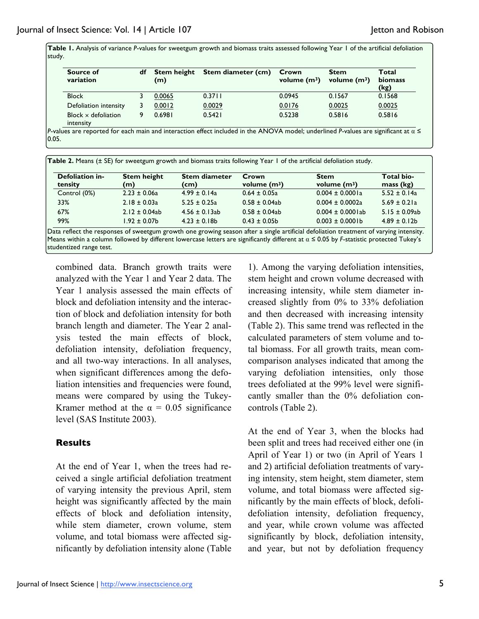Table 1. Analysis of variance P-values for sweetgum growth and biomass traits assessed following Year 1 of the artificial defoliation study.

| Source of<br>variation                  | df | <b>Stem height</b><br>(m) | Stem diameter (cm) | Crown<br>volume $(m^3)$ | <b>Stem</b><br>volume $(m^3)$ | Total<br>biomass<br>(kg) |
|-----------------------------------------|----|---------------------------|--------------------|-------------------------|-------------------------------|--------------------------|
| <b>Block</b>                            |    | 0.0065                    | 0.3711             | 0.0945                  | 0.1567                        | 0.1568                   |
| Defoliation intensity                   |    | 0.0012                    | 0.0029             | 0.0176                  | 0.0025                        | 0.0025                   |
| Block $\times$ defoliation<br>intensity |    | 0.6981                    | 0.5421             | 0.5238                  | 0.5816                        | 0.5816                   |

*P*-values are reported for each main and interaction effect included in the ANOVA model; underlined *P*-values are significant at α ≤  $|0.05.$ 

| Table 2. Means (± SE) for sweetgum growth and biomass traits following Year 1 of the artificial defoliation study. |                           |                              |                         |                               |                         |  |  |  |
|--------------------------------------------------------------------------------------------------------------------|---------------------------|------------------------------|-------------------------|-------------------------------|-------------------------|--|--|--|
| Defoliation in-<br>tensity                                                                                         | <b>Stem height</b><br>(m) | <b>Stem diameter</b><br>(cm) | Crown<br>volume $(m^3)$ | <b>Stem</b><br>volume $(m^3)$ | Total bio-<br>mass (kg) |  |  |  |
| Control (0%)                                                                                                       | $2.23 \pm 0.06a$          | $4.99 \pm 0.14a$             | $0.64 \pm 0.05a$        | $0.004 \pm 0.0001a$           | $5.52 \pm 0.14a$        |  |  |  |
| 33%                                                                                                                | $2.18 \pm 0.03a$          | $5.25 \pm 0.25a$             | $0.58 \pm 0.04ab$       | $0.004 \pm 0.0002a$           | $5.69 \pm 0.21a$        |  |  |  |
| 67%                                                                                                                | $2.12 \pm 0.04ab$         | $4.56 \pm 0.13$ ab           | $0.58 \pm 0.04$ ab      | $0.004 \pm 0.0001$ ab         | $5.15 \pm 0.09ab$       |  |  |  |
| 99%                                                                                                                | $1.92 \pm 0.07$ b         | $4.23 \pm 0.18$ b            | $0.43 \pm 0.05$         | $0.003 \pm 0.0001$ b          | $4.89 \pm 0.12b$        |  |  |  |

Data reflect the responses of sweetgum growth one growing season after a single artificial defoliation treatment of varying intensity. Means within a column followed by different lowercase letters are significantly different at α ≤ 0.05 by *F*-statistic protected Tukey's studentized range test.

combined data. Branch growth traits were analyzed with the Year 1 and Year 2 data. The Year 1 analysis assessed the main effects of block and defoliation intensity and the interaction of block and defoliation intensity for both branch length and diameter. The Year 2 analysis tested the main effects of block, defoliation intensity, defoliation frequency, and all two-way interactions. In all analyses, when significant differences among the defoliation intensities and frequencies were found, means were compared by using the Tukey-Kramer method at the  $\alpha = 0.05$  significance level (SAS Institute 2003).

# **Results**

At the end of Year 1, when the trees had received a single artificial defoliation treatment of varying intensity the previous April, stem height was significantly affected by the main effects of block and defoliation intensity, while stem diameter, crown volume, stem volume, and total biomass were affected significantly by defoliation intensity alone (Table

1). Among the varying defoliation intensities, stem height and crown volume decreased with increasing intensity, while stem diameter increased slightly from 0% to 33% defoliation and then decreased with increasing intensity (Table 2). This same trend was reflected in the calculated parameters of stem volume and total biomass. For all growth traits, mean comcomparison analyses indicated that among the varying defoliation intensities, only those trees defoliated at the 99% level were significantly smaller than the 0% defoliation concontrols (Table 2).

At the end of Year 3, when the blocks had been split and trees had received either one (in April of Year 1) or two (in April of Years 1 and 2) artificial defoliation treatments of varying intensity, stem height, stem diameter, stem volume, and total biomass were affected significantly by the main effects of block, defolidefoliation intensity, defoliation frequency, and year, while crown volume was affected significantly by block, defoliation intensity, and year, but not by defoliation frequency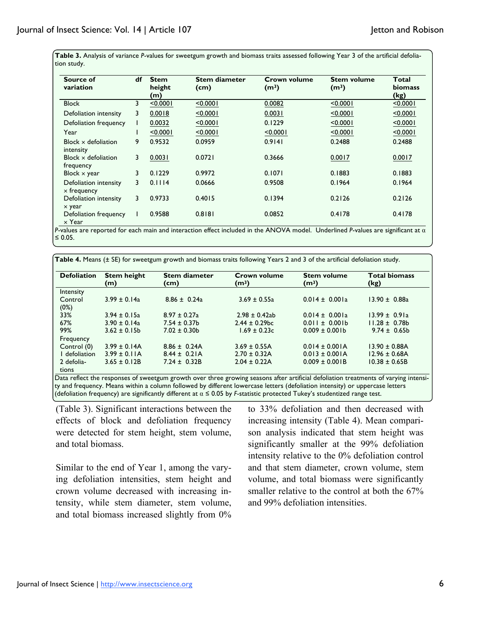Table 3. Analysis of variance P-values for sweetgum growth and biomass traits assessed following Year 3 of the artificial defoliation study.

| Source of<br>variation                      | df | <b>Stem</b><br>height<br>(m) | <b>Stem diameter</b><br>(cm) | Crown volume<br>(m <sup>3</sup> ) | <b>Stem volume</b><br>(m <sup>3</sup> ) | Total<br><b>biomass</b><br>(kg) |
|---------------------------------------------|----|------------------------------|------------------------------|-----------------------------------|-----------------------------------------|---------------------------------|
| <b>Block</b>                                | 3  | < 0.0001                     | < 0.0001                     | 0.0082                            | < 0.0001                                | < 0.0001                        |
| Defoliation intensity                       | 3  | 0.0018                       | < 0.0001                     | 0.0031                            | < 0.0001                                | < 0.0001                        |
| Defoliation frequency                       |    | 0.0032                       | < 0.0001                     | 0.1229                            | < 0.0001                                | < 0.0001                        |
| Year                                        |    | < 0.0001                     | < 0.0001                     | < 0.0001                          | < 0.0001                                | < 0.0001                        |
| Block $\times$ defoliation<br>intensity     | 9  | 0.9532                       | 0.0959                       | 0.9141                            | 0.2488                                  | 0.2488                          |
| Block $\times$ defoliation<br>frequency     | 3  | 0.0031                       | 0.0721                       | 0.3666                            | 0.0017                                  | 0.0017                          |
| Block $\times$ year                         | 3  | 0.1229                       | 0.9972                       | 0.1071                            | 0.1883                                  | 0.1883                          |
| Defoliation intensity<br>$\times$ frequency | 3  | 0.1114                       | 0.0666                       | 0.9508                            | 0.1964                                  | 0.1964                          |
| Defoliation intensity<br>x year             | 3  | 0.9733                       | 0.4015                       | 0.1394                            | 0.2126                                  | 0.2126                          |
| Defoliation frequency<br>$\times$ Year      |    | 0.9588                       | 0.8181                       | 0.0852                            | 0.4178                                  | 0.4178                          |

*P*-values are reported for each main and interaction effect included in the ANOVA model. Underlined *P*-values are significant at α ≤ 0.05.

| <b>Defoliation</b>  | <b>Stem height</b><br>(m) | <b>Stem diameter</b><br>(cm) | <b>Crown volume</b><br>(m <sup>3</sup> ) | <b>Stem volume</b><br>(m <sup>3</sup> ) | <b>Total biomass</b><br>(kg) |
|---------------------|---------------------------|------------------------------|------------------------------------------|-----------------------------------------|------------------------------|
| Intensity           |                           |                              |                                          |                                         |                              |
| Control<br>(0%)     | $3.99 \pm 0.14a$          | $8.86 \pm 0.24a$             | $3.69 \pm 0.55a$                         | $0.014 \pm 0.001a$                      | $13.90 \pm 0.88a$            |
| 33%                 | $3.94 \pm 0.15a$          | $8.97 \pm 0.27$ a            | $2.98 \pm 0.42$ ab                       | $0.014 \pm 0.001a$                      | $13.99 \pm 0.91a$            |
| 67%                 | $3.90 \pm 0.14a$          | $7.54 \pm 0.37$ b            | $2.44 \pm 0.29$ bc                       | $0.011 \pm 0.001b$                      | $11.28 \pm 0.78$ b           |
| 99%                 | $3.62 \pm 0.15$           | $7.02 \pm 0.30$              | $1.69 \pm 0.23c$                         | $0.009 \pm 0.001$ b                     | $9.74 \pm 0.65$ b            |
| Frequency           |                           |                              |                                          |                                         |                              |
| Control (0)         | $3.99 \pm 0.14$ A         | $8.86 \pm 0.24$ A            | $3.69 \pm 0.55A$                         | $0.014 \pm 0.001$ A                     | $13.90 \pm 0.88$ A           |
| I defoliation       | $3.99 \pm 0.11$ A         | $8.44 \pm 0.21$ A            | $2.70 \pm 0.32$ A                        | $0.013 \pm 0.001$ A                     | $12.96 \pm 0.68$ A           |
| 2 defolia-<br>tions | $3.65 \pm 0.12B$          | $7.24 \pm 0.32B$             | $2.04 \pm 0.22$ A                        | $0.009 \pm 0.001B$                      | $10.38 \pm 0.65B$            |

Data reflect the responses of sweetgum growth over three growing seasons after artificial defoliation treatments of varying intensity and frequency. Means within a column followed by different lowercase letters (defoliation intensity) or uppercase letters (defoliation frequency) are significantly different at α ≤ 0.05 by *F*-statistic protected Tukey's studentized range test.

(Table 3). Significant interactions between the effects of block and defoliation frequency were detected for stem height, stem volume, and total biomass.

Similar to the end of Year 1, among the varying defoliation intensities, stem height and crown volume decreased with increasing intensity, while stem diameter, stem volume, and total biomass increased slightly from 0% to 33% defoliation and then decreased with increasing intensity (Table 4). Mean comparison analysis indicated that stem height was significantly smaller at the 99% defoliation intensity relative to the 0% defoliation control and that stem diameter, crown volume, stem volume, and total biomass were significantly smaller relative to the control at both the 67% and 99% defoliation intensities.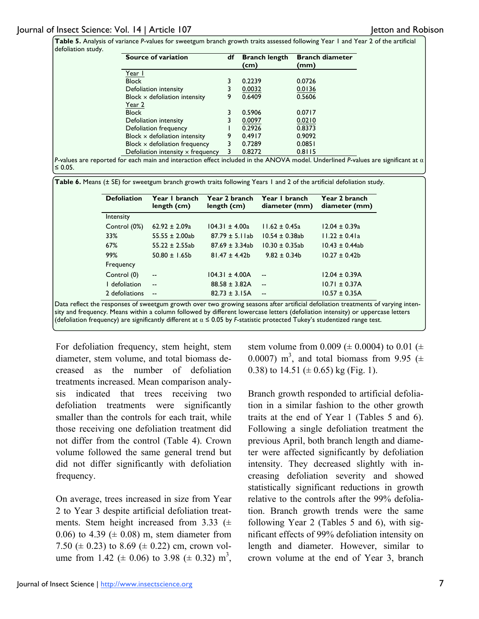**Table 5.** Analysis of variance *P*-values for sweetgum branch growth traits assessed following Year 1 and Year 2 of the artificial defoliation study

| Source of variation                      | df | <b>Branch length</b><br>(cm) | <b>Branch diameter</b><br>(mm) |
|------------------------------------------|----|------------------------------|--------------------------------|
| Year I                                   |    |                              |                                |
| <b>Block</b>                             |    | 0.2239                       | 0.0726                         |
| Defoliation intensity                    |    | 0.0032                       | 0.0136                         |
| Block $\times$ defoliation intensity     | 9  | 0.6409                       | 0.5606                         |
| Year 2                                   |    |                              |                                |
| <b>Block</b>                             |    | 0.5906                       | 0.0717                         |
| Defoliation intensity                    |    | 0.0097                       | 0.0210                         |
| Defoliation frequency                    |    | 0.2926                       | 0.8373                         |
| Block $\times$ defoliation intensity     | 9  | 0.4917                       | 0.9092                         |
| Block $\times$ defoliation frequency     | 3  | 0.7289                       | 0.0851                         |
| Defoliation intensity $\times$ frequency | 3  | 0.8272                       | 0.8115                         |

*P*-values are reported for each main and interaction effect included in the ANOVA model. Underlined *P*-values are significant at α ≤ 0.05.

**Table 6.** Means (± SE) for sweetgum branch growth traits following Years 1 and 2 of the artificial defoliation study.

| <b>Defoliation</b> | Year I branch<br>length (cm) | Year 2 branch<br>length (cm) | Year I branch<br>diameter (mm) | Year 2 branch<br>diameter (mm) |
|--------------------|------------------------------|------------------------------|--------------------------------|--------------------------------|
| Intensity          |                              |                              |                                |                                |
| Control (0%)       | $62.92 \pm 2.09a$            | $104.31 \pm 4.00a$           | $11.62 \pm 0.45a$              | $12.04 \pm 0.39a$              |
| 33%                | $55.55 \pm 2.00ab$           | $87.79 \pm 5.1$ lab          | $10.54 \pm 0.38$ ab            | $11.22 \pm 0.41a$              |
| 67%                | $55.22 \pm 2.55ab$           | $87.69 \pm 3.34ab$           | $10.30 \pm 0.35$ ab            | $10.43 \pm 0.44ab$             |
| 99%                | $50.80 \pm 1.65$             | $81.47 \pm 4.42b$            | $9.82 \pm 0.34$ b              | $10.27 \pm 0.42$               |
| Frequency          |                              |                              |                                |                                |
| Control (0)        | $\overline{\phantom{a}}$     | $104.31 \pm 4.00A$           | $-$                            | $12.04 \pm 0.39A$              |
| I defoliation      | $\sim$ $\sim$                | $88.58 \pm 3.82$ A           | $-$                            | $10.71 \pm 0.37A$              |
| 2 defoliations     | $\sim$                       | $82.73 \pm 3.15A$            | --                             | $10.57 \pm 0.35A$              |

Data reflect the responses of sweetgum growth over two growing seasons after artificial defoliation treatments of varying intensity and frequency. Means within a column followed by different lowercase letters (defoliation intensity) or uppercase letters (defoliation frequency) are significantly different at α ≤ 0.05 by *F*-statistic protected Tukey's studentized range test.

For defoliation frequency, stem height, stem diameter, stem volume, and total biomass decreased as the number of defoliation treatments increased. Mean comparison analysis indicated that trees receiving two defoliation treatments were significantly smaller than the controls for each trait, while those receiving one defoliation treatment did not differ from the control (Table 4). Crown volume followed the same general trend but did not differ significantly with defoliation frequency.

On average, trees increased in size from Year 2 to Year 3 despite artificial defoliation treatments. Stem height increased from 3.33  $(\pm$ 0.06) to 4.39 ( $\pm$  0.08) m, stem diameter from 7.50 ( $\pm$  0.23) to 8.69 ( $\pm$  0.22) cm, crown volume from 1.42 ( $\pm$  0.06) to 3.98 ( $\pm$  0.32) m<sup>3</sup>, stem volume from 0.009 ( $\pm$  0.0004) to 0.01 ( $\pm$ 0.0007) m<sup>3</sup>, and total biomass from 9.95 ( $\pm$ 0.38) to 14.51 ( $\pm$  0.65) kg (Fig. 1).

Branch growth responded to artificial defoliation in a similar fashion to the other growth traits at the end of Year 1 (Tables 5 and 6). Following a single defoliation treatment the previous April, both branch length and diameter were affected significantly by defoliation intensity. They decreased slightly with increasing defoliation severity and showed statistically significant reductions in growth relative to the controls after the 99% defoliation. Branch growth trends were the same following Year 2 (Tables 5 and 6), with significant effects of 99% defoliation intensity on length and diameter. However, similar to crown volume at the end of Year 3, branch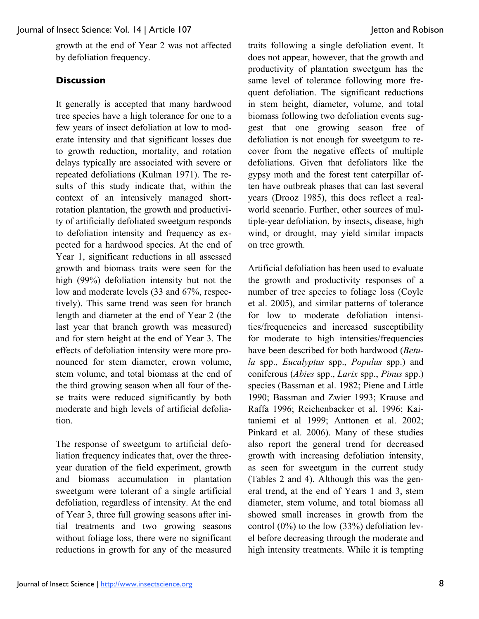growth at the end of Year 2 was not affected by defoliation frequency.

# **Discussion**

It generally is accepted that many hardwood tree species have a high tolerance for one to a few years of insect defoliation at low to moderate intensity and that significant losses due to growth reduction, mortality, and rotation delays typically are associated with severe or repeated defoliations (Kulman 1971). The results of this study indicate that, within the context of an intensively managed shortrotation plantation, the growth and productivity of artificially defoliated sweetgum responds to defoliation intensity and frequency as expected for a hardwood species. At the end of Year 1, significant reductions in all assessed growth and biomass traits were seen for the high (99%) defoliation intensity but not the low and moderate levels (33 and 67%, respectively). This same trend was seen for branch length and diameter at the end of Year 2 (the last year that branch growth was measured) and for stem height at the end of Year 3. The effects of defoliation intensity were more pronounced for stem diameter, crown volume, stem volume, and total biomass at the end of the third growing season when all four of these traits were reduced significantly by both moderate and high levels of artificial defoliation.

The response of sweetgum to artificial defoliation frequency indicates that, over the threeyear duration of the field experiment, growth and biomass accumulation in plantation sweetgum were tolerant of a single artificial defoliation, regardless of intensity. At the end of Year 3, three full growing seasons after initial treatments and two growing seasons without foliage loss, there were no significant reductions in growth for any of the measured

traits following a single defoliation event. It does not appear, however, that the growth and productivity of plantation sweetgum has the same level of tolerance following more frequent defoliation. The significant reductions in stem height, diameter, volume, and total biomass following two defoliation events suggest that one growing season free of defoliation is not enough for sweetgum to recover from the negative effects of multiple defoliations. Given that defoliators like the gypsy moth and the forest tent caterpillar often have outbreak phases that can last several years (Drooz 1985), this does reflect a realworld scenario. Further, other sources of multiple-year defoliation, by insects, disease, high wind, or drought, may yield similar impacts on tree growth.

Artificial defoliation has been used to evaluate the growth and productivity responses of a number of tree species to foliage loss (Coyle et al. 2005), and similar patterns of tolerance for low to moderate defoliation intensities/frequencies and increased susceptibility for moderate to high intensities/frequencies have been described for both hardwood (*Betula* spp., *Eucalyptus* spp., *Populus* spp.) and coniferous (*Abies* spp., *Larix* spp., *Pinus* spp.) species (Bassman et al. 1982; Piene and Little 1990; Bassman and Zwier 1993; Krause and Raffa 1996; Reichenbacker et al. 1996; Kaitaniemi et al 1999; Anttonen et al. 2002; Pinkard et al. 2006). Many of these studies also report the general trend for decreased growth with increasing defoliation intensity, as seen for sweetgum in the current study (Tables 2 and 4). Although this was the general trend, at the end of Years 1 and 3, stem diameter, stem volume, and total biomass all showed small increases in growth from the control (0%) to the low (33%) defoliation level before decreasing through the moderate and high intensity treatments. While it is tempting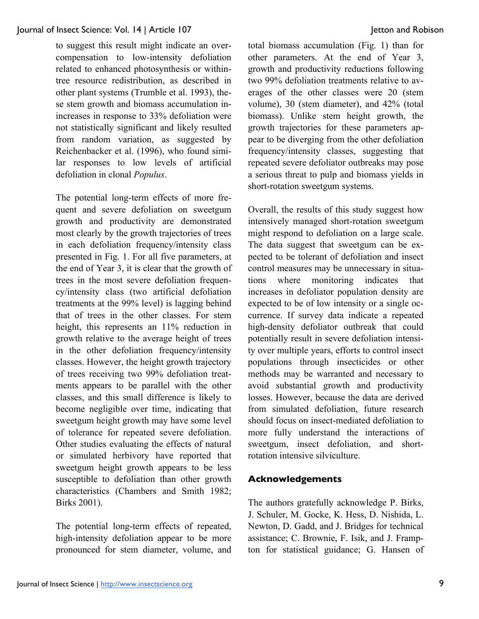to suggest this result might indicate an overcompensation to low-intensity defoliation related to enhanced photosynthesis or withintree resource redistribution, as described in other plant systems (Trumble et al. 1993), these stem growth and biomass accumulation inincreases in response to 33% defoliation were not statistically significant and likely resulted from random variation, as suggested by Reichenbacker et al. (1996), who found similar responses to low levels of artificial defoliation in clonal *Populus*.

The potential long-term effects of more frequent and severe defoliation on sweetgum growth and productivity are demonstrated most clearly by the growth trajectories of trees in each defoliation frequency/intensity class presented in Fig. 1. For all five parameters, at the end of Year 3, it is clear that the growth of trees in the most severe defoliation frequency/intensity class (two artificial defoliation treatments at the 99% level) is lagging behind that of trees in the other classes. For stem height, this represents an  $11\%$  reduction in growth relative to the average height of trees in the other defoliation frequency/intensity classes. However, the height growth trajectory of trees receiving two 99% defoliation treatments appears to be parallel with the other classes, and this small difference is likely to become negligible over time, indicating that sweetgum height growth may have some level of tolerance for repeated severe defoliation. Other studies evaluating the effects of natural or simulated herbivory have reported that sweetgum height growth appears to be less susceptible to defoliation than other growth characteristics (Chambers and Smith 1982; Birks 2001).

The potential long-term effects of repeated, high-intensity defoliation appear to be more pronounced for stem diameter, volume, and total biomass accumulation (Fig. 1) than for other parameters. At the end of Year 3, growth and productivity reductions following two 99% defoliation treatments relative to averages of the other classes were 20 (stem volume), 30 (stem diameter), and 42% (total biomass). Unlike stem height growth, the growth trajectories for these parameters appear to be diverging from the other defoliation frequency/intensity classes, suggesting that repeated severe defoliator outbreaks may pose a serious threat to pulp and biomass yields in short-rotation sweetgum systems.

Overall, the results of this study suggest how intensively managed short-rotation sweetgum might respond to defoliation on a large scale. The data suggest that sweetgum can be expected to be tolerant of defoliation and insect control measures may be unnecessary in situations where monitoring indicates that increases in defoliator population density are expected to be of low intensity or a single occurrence. If survey data indicate a repeated high-density defoliator outbreak that could potentially result in severe defoliation intensity over multiple years, efforts to control insect populations through insecticides or other methods may be warranted and necessary to avoid substantial growth and productivity losses. However, because the data are derived from simulated defoliation, future research should focus on insect-mediated defoliation to more fully understand the interactions of sweetgum, insect defoliation, and shortrotation intensive silviculture.

## **Acknowledgements**

The authors gratefully acknowledge P. Birks, J. Schuler, M. Gocke, K. Hess, D. Nishida, L. Newton, D. Gadd, and J. Bridges for technical assistance; C. Brownie, F. Isik, and J. Frampton for statistical guidance; G. Hansen of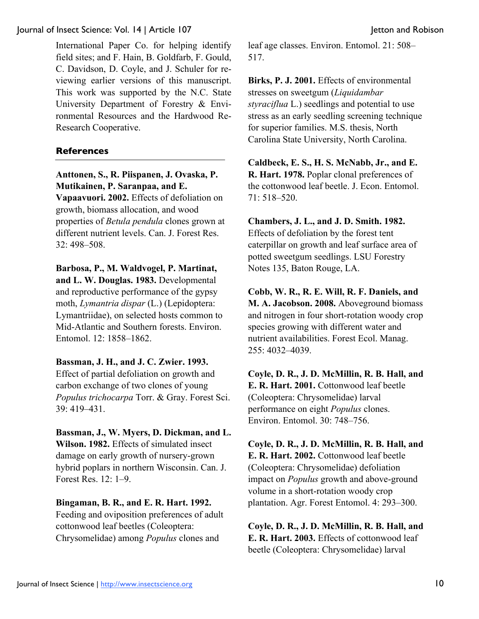International Paper Co. for helping identify field sites; and F. Hain, B. Goldfarb, F. Gould, C. Davidson, D. Coyle, and J. Schuler for reviewing earlier versions of this manuscript. This work was supported by the N.C. State University Department of Forestry & Environmental Resources and the Hardwood Re-Research Cooperative.

### **References**

**Anttonen, S., R. Piispanen, J. Ovaska, P. Mutikainen, P. Saranpaa, and E.** 

**Vapaavuori. 2002.** Effects of defoliation on growth, biomass allocation, and wood properties of *Betula pendula* clones grown at different nutrient levels. Can. J. Forest Res. 32: 498–508.

**Barbosa, P., M. Waldvogel, P. Martinat, and L. W. Douglas. 1983.** Developmental

and reproductive performance of the gypsy moth, *Lymantria dispar* (L.) (Lepidoptera: Lymantriidae), on selected hosts common to Mid-Atlantic and Southern forests. Environ. Entomol. 12: 1858–1862.

**Bassman, J. H., and J. C. Zwier. 1993.**

Effect of partial defoliation on growth and carbon exchange of two clones of young *Populus trichocarpa* Torr. & Gray. Forest Sci. 39: 419–431.

**Bassman, J., W. Myers, D. Dickman, and L. Wilson. 1982.** Effects of simulated insect damage on early growth of nursery-grown hybrid poplars in northern Wisconsin. Can. J. Forest Res. 12: 1–9.

**Bingaman, B. R., and E. R. Hart. 1992.**  Feeding and oviposition preferences of adult cottonwood leaf beetles (Coleoptera: Chrysomelidae) among *Populus* clones and

leaf age classes. Environ. Entomol. 21: 508– 517.

**Birks, P. J. 2001.** Effects of environmental stresses on sweetgum (*Liquidambar styraciflua* L.) seedlings and potential to use stress as an early seedling screening technique for superior families. M.S. thesis, North Carolina State University, North Carolina.

**Caldbeck, E. S., H. S. McNabb, Jr., and E. R. Hart. 1978.** Poplar clonal preferences of the cottonwood leaf beetle. J. Econ. Entomol. 71: 518–520.

**Chambers, J. L., and J. D. Smith. 1982.** Effects of defoliation by the forest tent caterpillar on growth and leaf surface area of potted sweetgum seedlings. LSU Forestry Notes 135, Baton Rouge, LA.

**Cobb, W. R., R. E. Will, R. F. Daniels, and M. A. Jacobson. 2008.** Aboveground biomass and nitrogen in four short-rotation woody crop species growing with different water and nutrient availabilities. Forest Ecol. Manag. 255: 4032–4039.

**Coyle, D. R., J. D. McMillin, R. B. Hall, and E. R. Hart. 2001.** Cottonwood leaf beetle (Coleoptera: Chrysomelidae) larval performance on eight *Populus* clones. Environ. Entomol. 30: 748–756.

**Coyle, D. R., J. D. McMillin, R. B. Hall, and E. R. Hart. 2002.** Cottonwood leaf beetle (Coleoptera: Chrysomelidae) defoliation impact on *Populus* growth and above-ground volume in a short-rotation woody crop plantation. Agr. Forest Entomol. 4: 293–300.

**Coyle, D. R., J. D. McMillin, R. B. Hall, and E. R. Hart. 2003.** Effects of cottonwood leaf beetle (Coleoptera: Chrysomelidae) larval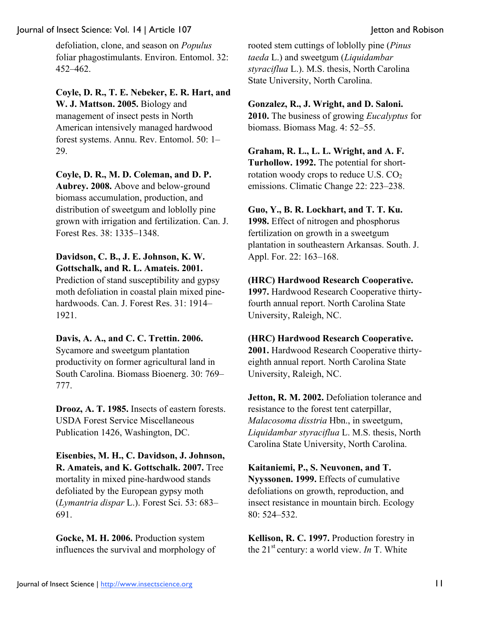defoliation, clone, and season on *Populus* foliar phagostimulants. Environ. Entomol. 32: 452–462.

**Coyle, D. R., T. E. Nebeker, E. R. Hart, and W. J. Mattson. 2005.** Biology and management of insect pests in North American intensively managed hardwood forest systems. Annu. Rev. Entomol. 50: 1– 29.

**Coyle, D. R., M. D. Coleman, and D. P. Aubrey. 2008.** Above and below-ground

biomass accumulation, production, and distribution of sweetgum and loblolly pine grown with irrigation and fertilization. Can. J. Forest Res. 38: 1335–1348.

#### **Davidson, C. B., J. E. Johnson, K. W. Gottschalk, and R. L. Amateis. 2001.**

Prediction of stand susceptibility and gypsy moth defoliation in coastal plain mixed pinehardwoods. Can. J. Forest Res. 31: 1914– 1921.

## **Davis, A. A., and C. C. Trettin. 2006.**

Sycamore and sweetgum plantation productivity on former agricultural land in South Carolina. Biomass Bioenerg. 30: 769– 777.

**Drooz, A. T. 1985.** Insects of eastern forests. USDA Forest Service Miscellaneous Publication 1426, Washington, DC.

**Eisenbies, M. H., C. Davidson, J. Johnson, R. Amateis, and K. Gottschalk. 2007.** Tree mortality in mixed pine-hardwood stands defoliated by the European gypsy moth (*Lymantria dispar* L.). Forest Sci. 53: 683– 691.

**Gocke, M. H. 2006.** Production system influences the survival and morphology of

rooted stem cuttings of loblolly pine (*Pinus taeda* L.) and sweetgum (*Liquidambar styraciflua* L.). M.S. thesis, North Carolina State University, North Carolina.

## **Gonzalez, R., J. Wright, and D. Saloni.**

**2010.** The business of growing *Eucalyptus* for biomass. Biomass Mag. 4: 52–55.

**Graham, R. L., L. L. Wright, and A. F. Turhollow. 1992.** The potential for short-

rotation woody crops to reduce U.S.  $CO<sub>2</sub>$ emissions. Climatic Change 22: 223–238.

#### **Guo, Y., B. R. Lockhart, and T. T. Ku.**

**1998.** Effect of nitrogen and phosphorus fertilization on growth in a sweetgum plantation in southeastern Arkansas. South. J. Appl. For. 22: 163–168.

## **(HRC) Hardwood Research Cooperative.**

**1997.** Hardwood Research Cooperative thirtyfourth annual report. North Carolina State University, Raleigh, NC.

#### **(HRC) Hardwood Research Cooperative.**

**2001.** Hardwood Research Cooperative thirtyeighth annual report. North Carolina State University, Raleigh, NC.

**Jetton, R. M. 2002.** Defoliation tolerance and resistance to the forest tent caterpillar, *Malacosoma disstria* Hbn., in sweetgum, *Liquidambar styraciflua* L. M.S. thesis, North Carolina State University, North Carolina.

**Kaitaniemi, P., S. Neuvonen, and T. Nyyssonen. 1999.** Effects of cumulative defoliations on growth, reproduction, and insect resistance in mountain birch. Ecology 80: 524–532.

**Kellison, R. C. 1997.** Production forestry in the 21<sup>st</sup> century: a world view. *In* T. White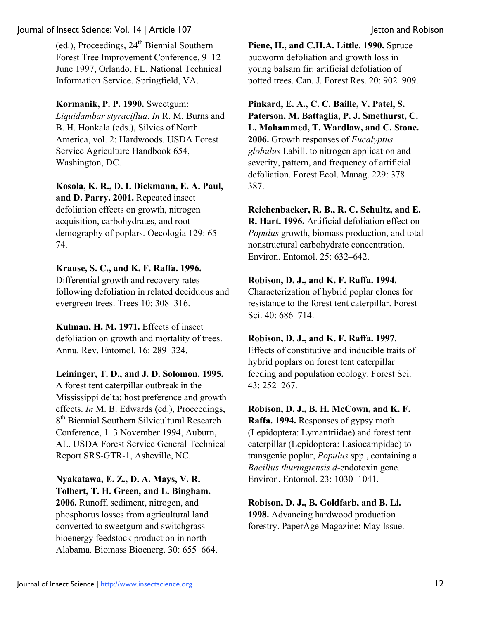(ed.), Proceedings, 24<sup>th</sup> Biennial Southern Forest Tree Improvement Conference, 9–12 June 1997, Orlando, FL. National Technical Information Service. Springfield, VA.

**Kormanik, P. P. 1990.** Sweetgum:

*Liquidambar styraciflua*. *In* R. M. Burns and B. H. Honkala (eds.), Silvics of North America, vol. 2: Hardwoods. USDA Forest Service Agriculture Handbook 654, Washington, DC.

**Kosola, K. R., D. I. Dickmann, E. A. Paul,** 

**and D. Parry. 2001.** Repeated insect defoliation effects on growth, nitrogen acquisition, carbohydrates, and root demography of poplars. Oecologia 129: 65– 74.

# **Krause, S. C., and K. F. Raffa. 1996.**

Differential growth and recovery rates following defoliation in related deciduous and evergreen trees. Trees 10: 308–316.

**Kulman, H. M. 1971.** Effects of insect defoliation on growth and mortality of trees. Annu. Rev. Entomol. 16: 289–324.

**Leininger, T. D., and J. D. Solomon. 1995.** A forest tent caterpillar outbreak in the Mississippi delta: host preference and growth effects. *In* M. B. Edwards (ed.), Proceedings, 8<sup>th</sup> Biennial Southern Silvicultural Research Conference, 1–3 November 1994, Auburn, AL. USDA Forest Service General Technical Report SRS-GTR-1, Asheville, NC.

# **Nyakatawa, E. Z., D. A. Mays, V. R. Tolbert, T. H. Green, and L. Bingham.**

**2006.** Runoff, sediment, nitrogen, and phosphorus losses from agricultural land converted to sweetgum and switchgrass bioenergy feedstock production in north Alabama. Biomass Bioenerg. 30: 655–664.

**Piene, H., and C.H.A. Little. 1990.** Spruce budworm defoliation and growth loss in young balsam fir: artificial defoliation of potted trees. Can. J. Forest Res. 20: 902–909.

**Pinkard, E. A., C. C. Baille, V. Patel, S. Paterson, M. Battaglia, P. J. Smethurst, C. L. Mohammed, T. Wardlaw, and C. Stone. 2006.** Growth responses of *Eucalyptus globulus* Labill. to nitrogen application and severity, pattern, and frequency of artificial defoliation. Forest Ecol. Manag. 229: 378– 387.

**Reichenbacker, R. B., R. C. Schultz, and E. R. Hart. 1996.** Artificial defoliation effect on *Populus* growth, biomass production, and total nonstructural carbohydrate concentration. Environ. Entomol. 25: 632–642.

# **Robison, D. J., and K. F. Raffa. 1994.**

Characterization of hybrid poplar clones for resistance to the forest tent caterpillar. Forest Sci. 40: 686–714.

# **Robison, D. J., and K. F. Raffa. 1997.**

Effects of constitutive and inducible traits of hybrid poplars on forest tent caterpillar feeding and population ecology. Forest Sci. 43: 252–267.

# **Robison, D. J., B. H. McCown, and K. F.**

**Raffa. 1994.** Responses of gypsy moth (Lepidoptera: Lymantriidae) and forest tent caterpillar (Lepidoptera: Lasiocampidae) to transgenic poplar, *Populus* spp., containing a *Bacillus thuringiensis d*-endotoxin gene. Environ. Entomol. 23: 1030–1041.

**Robison, D. J., B. Goldfarb, and B. Li. 1998.** Advancing hardwood production forestry. PaperAge Magazine: May Issue.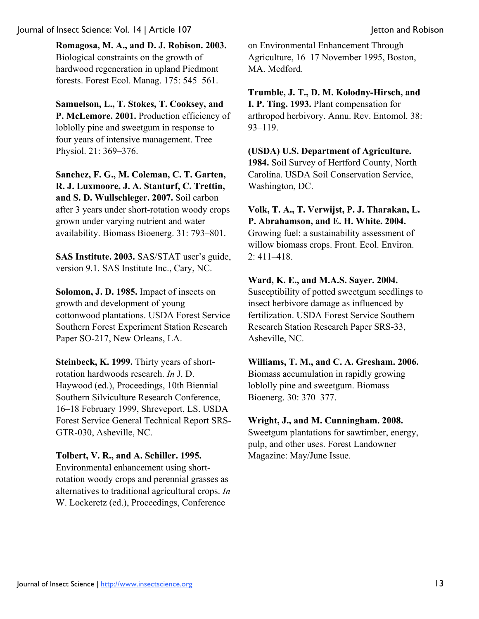**Romagosa, M. A., and D. J. Robison. 2003.** Biological constraints on the growth of hardwood regeneration in upland Piedmont forests. Forest Ecol. Manag. 175: 545–561.

**Samuelson, L., T. Stokes, T. Cooksey, and P. McLemore. 2001.** Production efficiency of loblolly pine and sweetgum in response to four years of intensive management. Tree Physiol. 21: 369–376.

**Sanchez, F. G., M. Coleman, C. T. Garten, R. J. Luxmoore, J. A. Stanturf, C. Trettin, and S. D. Wullschleger. 2007.** Soil carbon after 3 years under short-rotation woody crops grown under varying nutrient and water availability. Biomass Bioenerg. 31: 793–801.

**SAS Institute. 2003.** SAS/STAT user's guide, version 9.1. SAS Institute Inc., Cary, NC.

**Solomon, J. D. 1985.** Impact of insects on growth and development of young cottonwood plantations. USDA Forest Service Southern Forest Experiment Station Research Paper SO-217, New Orleans, LA.

**Steinbeck, K. 1999.** Thirty years of shortrotation hardwoods research. *In* J. D. Haywood (ed.), Proceedings, 10th Biennial Southern Silviculture Research Conference, 16–18 February 1999, Shreveport, LS. USDA Forest Service General Technical Report SRS-GTR-030, Asheville, NC.

# **Tolbert, V. R., and A. Schiller. 1995.**

Environmental enhancement using shortrotation woody crops and perennial grasses as alternatives to traditional agricultural crops. *In* W. Lockeretz (ed.), Proceedings, Conference

on Environmental Enhancement Through Agriculture, 16–17 November 1995, Boston, MA. Medford.

**Trumble, J. T., D. M. Kolodny-Hirsch, and I. P. Ting. 1993.** Plant compensation for arthropod herbivory. Annu. Rev. Entomol. 38: 93–119.

**(USDA) U.S. Department of Agriculture. 1984.** Soil Survey of Hertford County, North Carolina. USDA Soil Conservation Service, Washington, DC.

**Volk, T. A., T. Verwijst, P. J. Tharakan, L. P. Abrahamson, and E. H. White. 2004.**  Growing fuel: a sustainability assessment of willow biomass crops. Front. Ecol. Environ. 2: 411–418.

## **Ward, K. E., and M.A.S. Sayer. 2004.**

Susceptibility of potted sweetgum seedlings to insect herbivore damage as influenced by fertilization. USDA Forest Service Southern Research Station Research Paper SRS-33, Asheville, NC.

**Williams, T. M., and C. A. Gresham. 2006.** Biomass accumulation in rapidly growing loblolly pine and sweetgum. Biomass Bioenerg. 30: 370–377.

## **Wright, J., and M. Cunningham. 2008.**

Sweetgum plantations for sawtimber, energy, pulp, and other uses. Forest Landowner Magazine: May/June Issue.